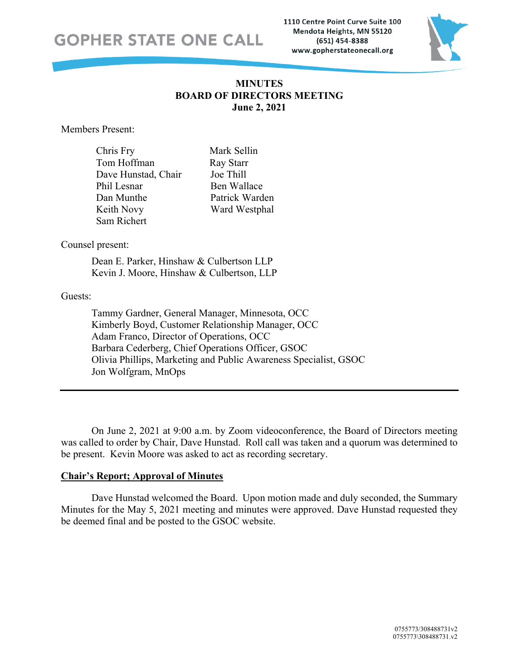1110 Centre Point Curve Suite 100 Mendota Heights, MN 55120 (651) 454-8388 www.gopherstateonecall.org



## **MINUTES BOARD OF DIRECTORS MEETING June 2, 2021**

Members Present:

| Chris Fry           |
|---------------------|
| Tom Hoffman         |
| Dave Hunstad, Chair |
| Phil Lesnar         |
| Dan Munthe          |
| Keith Novy          |
| Sam Richert         |

Mark Sellin Ray Starr Joe Thill Ben Wallace Patrick Warden Ward Westphal

## Counsel present:

Dean E. Parker, Hinshaw & Culbertson LLP Kevin J. Moore, Hinshaw & Culbertson, LLP

## Guests:

Tammy Gardner, General Manager, Minnesota, OCC Kimberly Boyd, Customer Relationship Manager, OCC Adam Franco, Director of Operations, OCC Barbara Cederberg, Chief Operations Officer, GSOC Olivia Phillips, Marketing and Public Awareness Specialist, GSOC Jon Wolfgram, MnOps

On June 2, 2021 at 9:00 a.m. by Zoom videoconference, the Board of Directors meeting was called to order by Chair, Dave Hunstad. Roll call was taken and a quorum was determined to be present. Kevin Moore was asked to act as recording secretary.

## **Chair's Report; Approval of Minutes**

Dave Hunstad welcomed the Board. Upon motion made and duly seconded, the Summary Minutes for the May 5, 2021 meeting and minutes were approved. Dave Hunstad requested they be deemed final and be posted to the GSOC website.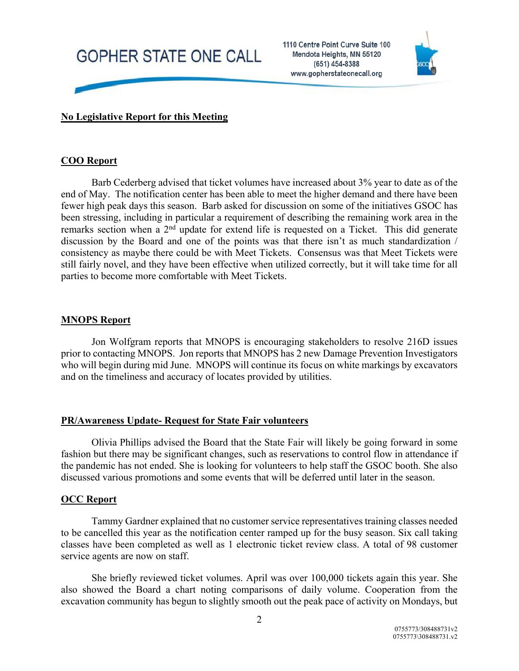1110 Centre Point Curve Suite 100 Mendota Heights, MN 55120 (651) 454-8388 www.gopherstateonecall.org



## **No Legislative Report for this Meeting**

### **COO Report**

Barb Cederberg advised that ticket volumes have increased about 3% year to date as of the end of May. The notification center has been able to meet the higher demand and there have been fewer high peak days this season. Barb asked for discussion on some of the initiatives GSOC has been stressing, including in particular a requirement of describing the remaining work area in the remarks section when a 2nd update for extend life is requested on a Ticket. This did generate discussion by the Board and one of the points was that there isn't as much standardization / consistency as maybe there could be with Meet Tickets. Consensus was that Meet Tickets were still fairly novel, and they have been effective when utilized correctly, but it will take time for all parties to become more comfortable with Meet Tickets.

#### **MNOPS Report**

Jon Wolfgram reports that MNOPS is encouraging stakeholders to resolve 216D issues prior to contacting MNOPS. Jon reports that MNOPS has 2 new Damage Prevention Investigators who will begin during mid June. MNOPS will continue its focus on white markings by excavators and on the timeliness and accuracy of locates provided by utilities.

#### **PR/Awareness Update- Request for State Fair volunteers**

Olivia Phillips advised the Board that the State Fair will likely be going forward in some fashion but there may be significant changes, such as reservations to control flow in attendance if the pandemic has not ended. She is looking for volunteers to help staff the GSOC booth. She also discussed various promotions and some events that will be deferred until later in the season.

## **OCC Report**

Tammy Gardner explained that no customer service representatives training classes needed to be cancelled this year as the notification center ramped up for the busy season. Six call taking classes have been completed as well as 1 electronic ticket review class. A total of 98 customer service agents are now on staff.

She briefly reviewed ticket volumes. April was over 100,000 tickets again this year. She also showed the Board a chart noting comparisons of daily volume. Cooperation from the excavation community has begun to slightly smooth out the peak pace of activity on Mondays, but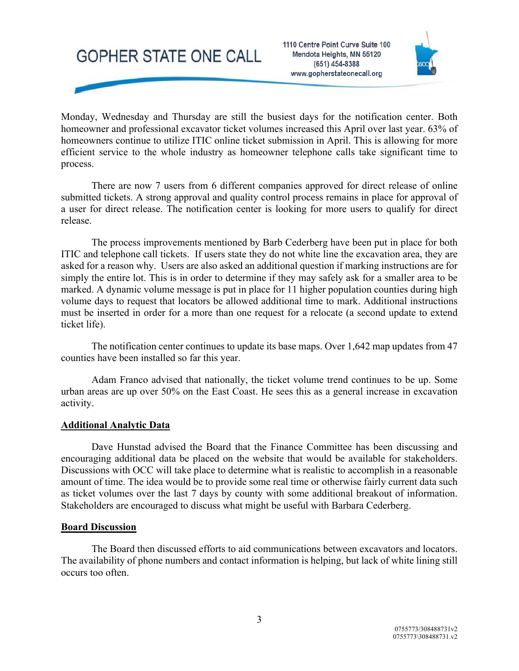1110 Centre Point Curve Suite 100 Mendota Heights, MN 55120 (651) 454-8388 www.gopherstateonecall.org



Monday, Wednesday and Thursday are still the busiest days for the notification center. Both homeowner and professional excavator ticket volumes increased this April over last year. 63% of homeowners continue to utilize ITIC online ticket submission in April. This is allowing for more efficient service to the whole industry as homeowner telephone calls take significant time to process.

There are now 7 users from 6 different companies approved for direct release of online submitted tickets. A strong approval and quality control process remains in place for approval of a user for direct release. The notification center is looking for more users to qualify for direct release.

The process improvements mentioned by Barb Cederberg have been put in place for both ITIC and telephone call tickets. If users state they do not white line the excavation area, they are asked for a reason why. Users are also asked an additional question if marking instructions are for simply the entire lot. This is in order to determine if they may safely ask for a smaller area to be marked. A dynamic volume message is put in place for 11 higher population counties during high volume days to request that locators be allowed additional time to mark. Additional instructions must be inserted in order for a more than one request for a relocate (a second update to extend ticket life).

The notification center continues to update its base maps. Over 1,642 map updates from 47 counties have been installed so far this year.

Adam Franco advised that nationally, the ticket volume trend continues to be up. Some urban areas are up over 50% on the East Coast. He sees this as a general increase in excavation activity.

#### **Additional Analytic Data**

Dave Hunstad advised the Board that the Finance Committee has been discussing and encouraging additional data be placed on the website that would be available for stakeholders. Discussions with OCC will take place to determine what is realistic to accomplish in a reasonable amount of time. The idea would be to provide some real time or otherwise fairly current data such as ticket volumes over the last 7 days by county with some additional breakout of information. Stakeholders are encouraged to discuss what might be useful with Barbara Cederberg.

#### **Board Discussion**

The Board then discussed efforts to aid communications between excavators and locators. The availability of phone numbers and contact information is helping, but lack of white lining still occurs too often.